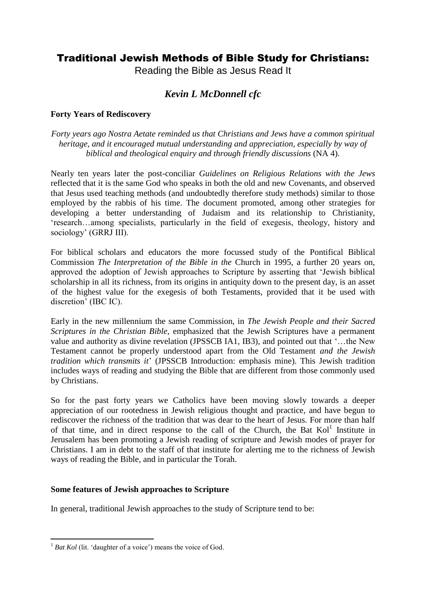# Traditional Jewish Methods of Bible Study for Christians:

Reading the Bible as Jesus Read It

## *Kevin L McDonnell cfc*

## **Forty Years of Rediscovery**

*Forty years ago Nostra Aetate reminded us that Christians and Jews have a common spiritual heritage, and it encouraged mutual understanding and appreciation, especially by way of biblical and theological enquiry and through friendly discussions* (NA 4).

Nearly ten years later the post-conciliar *Guidelines on Religious Relations with the Jews* reflected that it is the same God who speaks in both the old and new Covenants, and observed that Jesus used teaching methods (and undoubtedly therefore study methods) similar to those employed by the rabbis of his time. The document promoted, among other strategies for developing a better understanding of Judaism and its relationship to Christianity, "research…among specialists, particularly in the field of exegesis, theology, history and sociology' (GRRJ III).

For biblical scholars and educators the more focussed study of the Pontifical Biblical Commission *The Interpretation of the Bible in the* Church in 1995, a further 20 years on, approved the adoption of Jewish approaches to Scripture by asserting that "Jewish biblical scholarship in all its richness, from its origins in antiquity down to the present day, is an asset of the highest value for the exegesis of both Testaments, provided that it be used with discretion" (IBC IC).

Early in the new millennium the same Commission, in *The Jewish People and their Sacred Scriptures in the Christian Bible,* emphasized that the Jewish Scriptures have a permanent value and authority as divine revelation (JPSSCB IA1, IB3), and pointed out that "…the New Testament cannot be properly understood apart from the Old Testament *and the Jewish tradition which transmits it*" (JPSSCB Introduction: emphasis mine). This Jewish tradition includes ways of reading and studying the Bible that are different from those commonly used by Christians.

So for the past forty years we Catholics have been moving slowly towards a deeper appreciation of our rootedness in Jewish religious thought and practice, and have begun to rediscover the richness of the tradition that was dear to the heart of Jesus. For more than half of that time, and in direct response to the call of the Church, the Bat  $Kol<sup>1</sup>$  Institute in Jerusalem has been promoting a Jewish reading of scripture and Jewish modes of prayer for Christians. I am in debt to the staff of that institute for alerting me to the richness of Jewish ways of reading the Bible, and in particular the Torah.

## **Some features of Jewish approaches to Scripture**

In general, traditional Jewish approaches to the study of Scripture tend to be:

 $\overline{a}$ 

<sup>&</sup>lt;sup>1</sup> *Bat Kol* (lit. 'daughter of a voice') means the voice of God.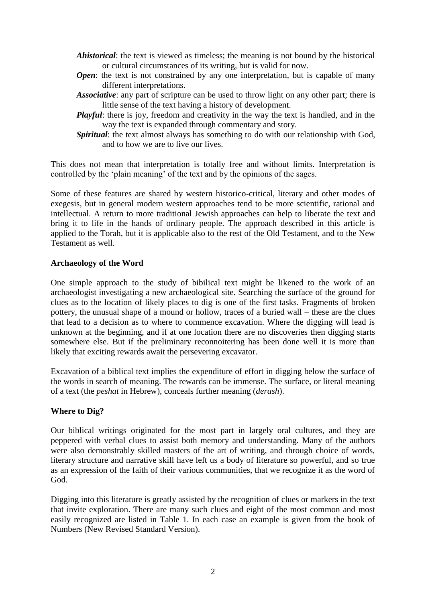- *Ahistorical*: the text is viewed as timeless; the meaning is not bound by the historical or cultural circumstances of its writing, but is valid for now.
- *Open*: the text is not constrained by any one interpretation, but is capable of many different interpretations.
- *Associative*: any part of scripture can be used to throw light on any other part; there is little sense of the text having a history of development.
- *Playful*: there is joy, freedom and creativity in the way the text is handled, and in the way the text is expanded through commentary and story.
- *Spiritual*: the text almost always has something to do with our relationship with God, and to how we are to live our lives.

This does not mean that interpretation is totally free and without limits. Interpretation is controlled by the "plain meaning" of the text and by the opinions of the sages.

Some of these features are shared by western historico-critical, literary and other modes of exegesis, but in general modern western approaches tend to be more scientific, rational and intellectual. A return to more traditional Jewish approaches can help to liberate the text and bring it to life in the hands of ordinary people. The approach described in this article is applied to the Torah, but it is applicable also to the rest of the Old Testament, and to the New Testament as well.

### **Archaeology of the Word**

One simple approach to the study of bibilical text might be likened to the work of an archaeologist investigating a new archaeological site. Searching the surface of the ground for clues as to the location of likely places to dig is one of the first tasks. Fragments of broken pottery, the unusual shape of a mound or hollow, traces of a buried wall – these are the clues that lead to a decision as to where to commence excavation. Where the digging will lead is unknown at the beginning, and if at one location there are no discoveries then digging starts somewhere else. But if the preliminary reconnoitering has been done well it is more than likely that exciting rewards await the persevering excavator.

Excavation of a biblical text implies the expenditure of effort in digging below the surface of the words in search of meaning. The rewards can be immense. The surface, or literal meaning of a text (the *peshat* in Hebrew), conceals further meaning (*derash*).

#### **Where to Dig?**

Our biblical writings originated for the most part in largely oral cultures, and they are peppered with verbal clues to assist both memory and understanding. Many of the authors were also demonstrably skilled masters of the art of writing, and through choice of words, literary structure and narrative skill have left us a body of literature so powerful, and so true as an expression of the faith of their various communities, that we recognize it as the word of God.

Digging into this literature is greatly assisted by the recognition of clues or markers in the text that invite exploration. There are many such clues and eight of the most common and most easily recognized are listed in Table 1. In each case an example is given from the book of Numbers (New Revised Standard Version).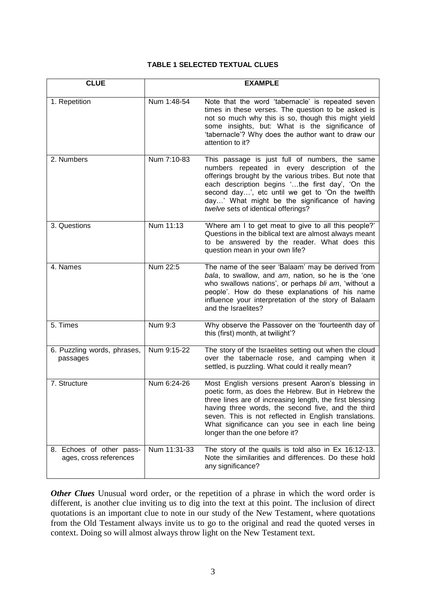#### **TABLE 1 SELECTED TEXTUAL CLUES**

| <b>CLUE</b>                                        |              | <b>EXAMPLE</b>                                                                                                                                                                                                                                                                                                                                                           |
|----------------------------------------------------|--------------|--------------------------------------------------------------------------------------------------------------------------------------------------------------------------------------------------------------------------------------------------------------------------------------------------------------------------------------------------------------------------|
| 1. Repetition                                      | Num 1:48-54  | Note that the word 'tabernacle' is repeated seven<br>times in these verses. The question to be asked is<br>not so much why this is so, though this might yield<br>some insights, but: What is the significance of<br>'tabernacle'? Why does the author want to draw our<br>attention to it?                                                                              |
| 2. Numbers                                         | Num 7:10-83  | This passage is just full of numbers, the same<br>numbers repeated in every description of the<br>offerings brought by the various tribes. But note that<br>each description begins 'the first day', 'On the<br>second day', etc until we get to 'On the twelfth<br>day' What might be the significance of having<br>twelve sets of identical offerings?                 |
| 3. Questions                                       | Num 11:13    | 'Where am I to get meat to give to all this people?'<br>Questions in the biblical text are almost always meant<br>to be answered by the reader. What does this<br>question mean in your own life?                                                                                                                                                                        |
| 4. Names                                           | Num 22:5     | The name of the seer 'Balaam' may be derived from<br>bala, to swallow, and am, nation, so he is the 'one<br>who swallows nations', or perhaps bli am, 'without a<br>people'. How do these explanations of his name<br>influence your interpretation of the story of Balaam<br>and the Israelites?                                                                        |
| 5. Times                                           | Num 9:3      | Why observe the Passover on the 'fourteenth day of<br>this (first) month, at twilight'?                                                                                                                                                                                                                                                                                  |
| 6. Puzzling words, phrases,<br>passages            | Num 9:15-22  | The story of the Israelites setting out when the cloud<br>over the tabernacle rose, and camping when it<br>settled, is puzzling. What could it really mean?                                                                                                                                                                                                              |
| 7. Structure                                       | Num 6:24-26  | Most English versions present Aaron's blessing in<br>poetic form, as does the Hebrew. But in Hebrew the<br>three lines are of increasing length, the first blessing<br>having three words, the second five, and the third<br>seven. This is not reflected in English translations.<br>What significance can you see in each line being<br>longer than the one before it? |
| 8. Echoes of other pass-<br>ages, cross references | Num 11:31-33 | The story of the quails is told also in Ex 16:12-13.<br>Note the similarities and differences. Do these hold<br>any significance?                                                                                                                                                                                                                                        |

*Other Clues* Unusual word order, or the repetition of a phrase in which the word order is different, is another clue inviting us to dig into the text at this point. The inclusion of direct quotations is an important clue to note in our study of the New Testament, where quotations from the Old Testament always invite us to go to the original and read the quoted verses in context. Doing so will almost always throw light on the New Testament text.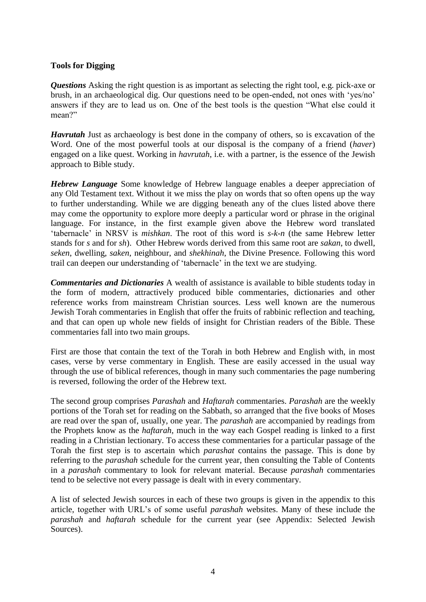## **Tools for Digging**

*Questions* Asking the right question is as important as selecting the right tool, e.g. pick-axe or brush, in an archaeological dig. Our questions need to be open-ended, not ones with "yes/no" answers if they are to lead us on. One of the best tools is the question "What else could it mean?"

*Havrutah* Just as archaeology is best done in the company of others, so is excavation of the Word. One of the most powerful tools at our disposal is the company of a friend (*haver*) engaged on a like quest. Working in *havrutah*, i.e. with a partner, is the essence of the Jewish approach to Bible study.

*Hebrew Language* Some knowledge of Hebrew language enables a deeper appreciation of any Old Testament text. Without it we miss the play on words that so often opens up the way to further understanding. While we are digging beneath any of the clues listed above there may come the opportunity to explore more deeply a particular word or phrase in the original language. For instance, in the first example given above the Hebrew word translated "tabernacle" in NRSV is *mishkan*. The root of this word is *s-k-n* (the same Hebrew letter stands for *s* and for *sh*). Other Hebrew words derived from this same root are *sakan*, to dwell, *seken*, dwelling, *saken*, neighbour, and *shekhinah*, the Divine Presence. Following this word trail can deepen our understanding of "tabernacle" in the text we are studying.

*Commentaries and Dictionaries* A wealth of assistance is available to bible students today in the form of modern, attractively produced bible commentaries, dictionaries and other reference works from mainstream Christian sources. Less well known are the numerous Jewish Torah commentaries in English that offer the fruits of rabbinic reflection and teaching, and that can open up whole new fields of insight for Christian readers of the Bible. These commentaries fall into two main groups.

First are those that contain the text of the Torah in both Hebrew and English with, in most cases, verse by verse commentary in English. These are easily accessed in the usual way through the use of biblical references, though in many such commentaries the page numbering is reversed, following the order of the Hebrew text.

The second group comprises *Parashah* and *Haftarah* commentaries. *Parashah* are the weekly portions of the Torah set for reading on the Sabbath, so arranged that the five books of Moses are read over the span of, usually, one year. The *parashah* are accompanied by readings from the Prophets know as the *haftarah,* much in the way each Gospel reading is linked to a first reading in a Christian lectionary. To access these commentaries for a particular passage of the Torah the first step is to ascertain which *parashat* contains the passage. This is done by referring to the *parashah* schedule for the current year, then consulting the Table of Contents in a *parashah* commentary to look for relevant material. Because *parashah* commentaries tend to be selective not every passage is dealt with in every commentary.

A list of selected Jewish sources in each of these two groups is given in the appendix to this article, together with URL"s of some useful *parashah* websites. Many of these include the *parashah* and *haftarah* schedule for the current year (see Appendix: Selected Jewish Sources).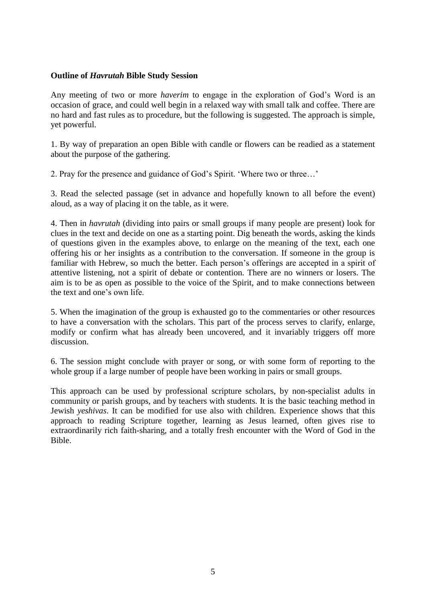### **Outline of** *Havrutah* **Bible Study Session**

Any meeting of two or more *haverim* to engage in the exploration of God"s Word is an occasion of grace, and could well begin in a relaxed way with small talk and coffee. There are no hard and fast rules as to procedure, but the following is suggested. The approach is simple, yet powerful.

1. By way of preparation an open Bible with candle or flowers can be readied as a statement about the purpose of the gathering.

2. Pray for the presence and guidance of God"s Spirit. "Where two or three…"

3. Read the selected passage (set in advance and hopefully known to all before the event) aloud, as a way of placing it on the table, as it were.

4. Then in *havrutah* (dividing into pairs or small groups if many people are present) look for clues in the text and decide on one as a starting point. Dig beneath the words, asking the kinds of questions given in the examples above, to enlarge on the meaning of the text, each one offering his or her insights as a contribution to the conversation. If someone in the group is familiar with Hebrew, so much the better. Each person's offerings are accepted in a spirit of attentive listening, not a spirit of debate or contention. There are no winners or losers. The aim is to be as open as possible to the voice of the Spirit, and to make connections between the text and one"s own life.

5. When the imagination of the group is exhausted go to the commentaries or other resources to have a conversation with the scholars. This part of the process serves to clarify, enlarge, modify or confirm what has already been uncovered, and it invariably triggers off more discussion.

6. The session might conclude with prayer or song, or with some form of reporting to the whole group if a large number of people have been working in pairs or small groups.

This approach can be used by professional scripture scholars, by non-specialist adults in community or parish groups, and by teachers with students. It is the basic teaching method in Jewish *yeshivas*. It can be modified for use also with children. Experience shows that this approach to reading Scripture together, learning as Jesus learned, often gives rise to extraordinarily rich faith-sharing, and a totally fresh encounter with the Word of God in the Bible.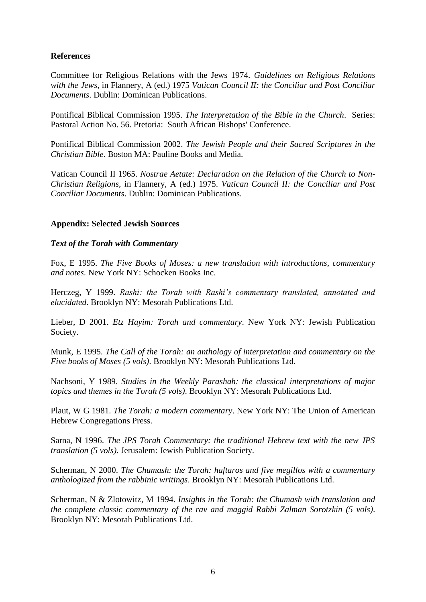## **References**

Committee for Religious Relations with the Jews 1974. *Guidelines on Religious Relations with the Jews,* in Flannery, A (ed.) 1975 *Vatican Council II: the Conciliar and Post Conciliar Documents*. Dublin: Dominican Publications.

Pontifical Biblical Commission 1995. *The Interpretation of the Bible in the Church*. Series: Pastoral Action No. 56. Pretoria: South African Bishops' Conference.

Pontifical Biblical Commission 2002. *The Jewish People and their Sacred Scriptures in the Christian Bible*. Boston MA: Pauline Books and Media.

Vatican Council II 1965. *Nostrae Aetate: Declaration on the Relation of the Church to Non-Christian Religions,* in Flannery, A (ed.) 1975. *Vatican Council II: the Conciliar and Post Conciliar Documents*. Dublin: Dominican Publications.

### **Appendix: Selected Jewish Sources**

#### *Text of the Torah with Commentary*

Fox, E 1995. *The Five Books of Moses: a new translation with introductions, commentary and notes*. New York NY: Schocken Books Inc.

Herczeg, Y 1999. *Rashi: the Torah with Rashi's commentary translated, annotated and elucidated*. Brooklyn NY: Mesorah Publications Ltd.

Lieber, D 2001. *Etz Hayim: Torah and commentary*. New York NY: Jewish Publication Society.

Munk, E 1995. *The Call of the Torah: an anthology of interpretation and commentary on the Five books of Moses (5 vols)*. Brooklyn NY: Mesorah Publications Ltd.

Nachsoni, Y 1989. *Studies in the Weekly Parashah: the classical interpretations of major topics and themes in the Torah (5 vols)*. Brooklyn NY: Mesorah Publications Ltd.

Plaut, W G 1981. *The Torah: a modern commentary*. New York NY: The Union of American Hebrew Congregations Press.

Sarna, N 1996. *The JPS Torah Commentary: the traditional Hebrew text with the new JPS translation (5 vols)*. Jerusalem: Jewish Publication Society.

Scherman, N 2000. *The Chumash: the Torah: haftaros and five megillos with a commentary anthologized from the rabbinic writings*. Brooklyn NY: Mesorah Publications Ltd.

Scherman, N & Zlotowitz, M 1994. *Insights in the Torah: the Chumash with translation and the complete classic commentary of the rav and maggid Rabbi Zalman Sorotzkin (5 vols)*. Brooklyn NY: Mesorah Publications Ltd.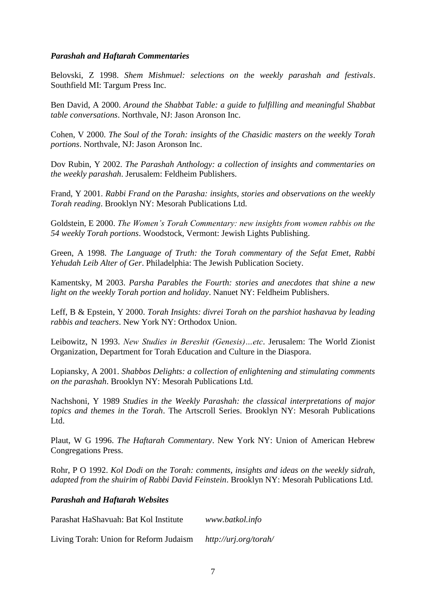#### *Parashah and Haftarah Commentaries*

Belovski, Z 1998. *Shem Mishmuel: selections on the weekly parashah and festivals*. Southfield MI: Targum Press Inc.

Ben David, A 2000. *Around the Shabbat Table: a guide to fulfilling and meaningful Shabbat table conversations*. Northvale, NJ: Jason Aronson Inc.

Cohen, V 2000. *The Soul of the Torah: insights of the Chasidic masters on the weekly Torah portions*. Northvale, NJ: Jason Aronson Inc.

Dov Rubin, Y 2002. *The Parashah Anthology: a collection of insights and commentaries on the weekly parashah*. Jerusalem: Feldheim Publishers.

Frand, Y 2001. *Rabbi Frand on the Parasha: insights, stories and observations on the weekly Torah reading*. Brooklyn NY: Mesorah Publications Ltd.

Goldstein, E 2000. *The Women's Torah Commentary: new insights from women rabbis on the 54 weekly Torah portions*. Woodstock, Vermont: Jewish Lights Publishing.

Green, A 1998. *The Language of Truth: the Torah commentary of the Sefat Emet, Rabbi Yehudah Leib Alter of Ger*. Philadelphia: The Jewish Publication Society.

Kamentsky, M 2003. *Parsha Parables the Fourth: stories and anecdotes that shine a new light on the weekly Torah portion and holiday*. Nanuet NY: Feldheim Publishers.

Leff, B & Epstein, Y 2000. *Torah Insights: divrei Torah on the parshiot hashavua by leading rabbis and teachers*. New York NY: Orthodox Union.

Leibowitz, N 1993. *New Studies in Bereshit (Genesis)…etc*. Jerusalem: The World Zionist Organization, Department for Torah Education and Culture in the Diaspora.

Lopiansky, A 2001. *Shabbos Delights: a collection of enlightening and stimulating comments on the parashah*. Brooklyn NY: Mesorah Publications Ltd.

Nachshoni, Y 1989 *Studies in the Weekly Parashah: the classical interpretations of major topics and themes in the Torah*. The Artscroll Series. Brooklyn NY: Mesorah Publications Ltd.

Plaut, W G 1996. *The Haftarah Commentary*. New York NY: Union of American Hebrew Congregations Press.

Rohr, P O 1992. *Kol Dodi on the Torah: comments, insights and ideas on the weekly sidrah, adapted from the shuirim of Rabbi David Feinstein*. Brooklyn NY: Mesorah Publications Ltd.

*Parashah and Haftarah Websites*

Parashat HaShavuah: Bat Kol Institute *www.batkol.info*

Living Torah: Union for Reform Judaism *http://urj.org/torah/*